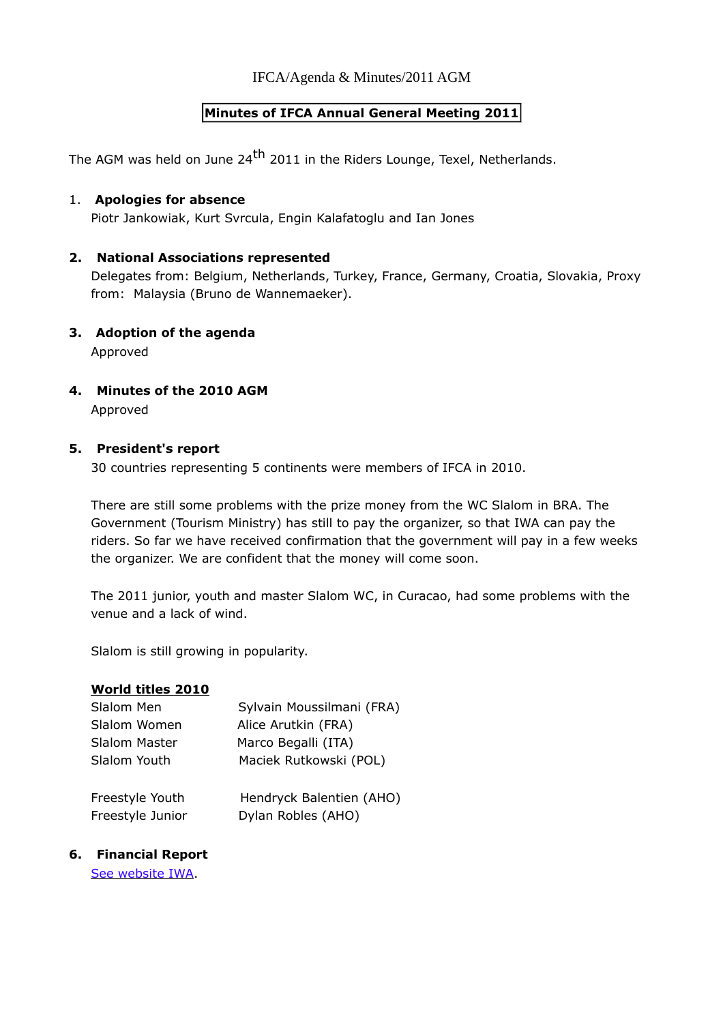IFCA/Agenda & Minutes/2011 AGM

## **Minutes of IFCA Annual General Meeting 2011**

The AGM was held on June 24<sup>th</sup> 2011 in the Riders Lounge, Texel, Netherlands.

### 1. **Apologies for absence**

Piotr Jankowiak, Kurt Svrcula, Engin Kalafatoglu and Ian Jones

### **2. National Associations represented**

Delegates from: Belgium, Netherlands, Turkey, France, Germany, Croatia, Slovakia, Proxy from: Malaysia (Bruno de Wannemaeker).

**3. Adoption of the agenda**

Approved

## **4. Minutes of the 2010 AGM**

Approved

### **5. President's report**

30 countries representing 5 continents were members of IFCA in 2010.

There are still some problems with the prize money from the WC Slalom in BRA. The Government (Tourism Ministry) has still to pay the organizer, so that IWA can pay the riders. So far we have received confirmation that the government will pay in a few weeks the organizer. We are confident that the money will come soon.

The 2011 junior, youth and master Slalom WC, in Curacao, had some problems with the venue and a lack of wind.

Slalom is still growing in popularity.

### **World titles 2010**

| Slalom Men       | Sylvain Moussilmani (FRA) |
|------------------|---------------------------|
| Slalom Women     | Alice Arutkin (FRA)       |
| Slalom Master    | Marco Begalli (ITA)       |
| Slalom Youth     | Maciek Rutkowski (POL)    |
| Freestyle Youth  | Hendryck Balentien (AHO)  |
| Freestyle Junior | Dylan Robles (AHO)        |

### **6. Financial Report**

[See website IWA.](http://www.internationalwindsurfing.com/windsurfing_competion_0019v01.htm)